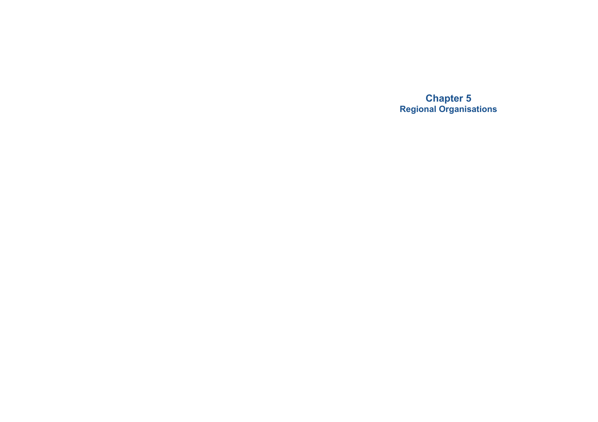**Chapter 5 Regional Organisations**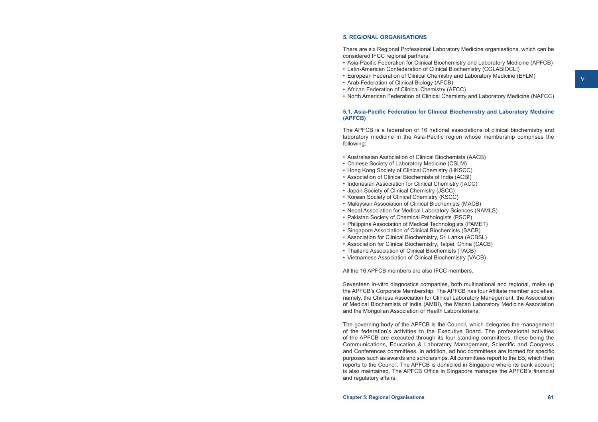#### **5. REGIONAL ORGANISATIONS**

There are six Regional Professional Laboratory Medicine organisations, which can be considered IFCC regional partners:

- • Asia-Pacific Federation for Clinical Biochemistry and Laboratory Medicine (APFCB)
- Latin-American Confederation of Clinical Biochemistry (COLABIOCLI)
- • European Federation of Clinical Chemistry and Laboratory Medicine (EFLM)
- • Arab Federation of Clinical Biology (AFCB)
- • African Federation of Clinical Chemistry (AFCC)
- • North American Federation of Clinical Chemistry and Laboratory Medicine (NAFCC)

### **5.1. Asia-Pacific Federation for Clinical Biochemistry and Laboratory Medicine (APFCB)**

The APFCB is a federation of 16 national associations of clinical biochemistry and laboratory medicine in the Asia-Pacific region whose membership comprises the following:

- • Australasian Association of Clinical Biochemists (AACB)
- Chinese Society of Laboratory Medicine (CSLM)
- Hong Kong Society of Clinical Chemistry (HKSCC)
- • Association of Clinical Biochemists of India (ACBI)
- Indonesian Association for Clinical Chemistry (IACC)
- • Japan Society of Clinical Chemistry (JSCC)
- • Korean Society of Clinical Chemistry (KSCC)
- Malaysian Association of Clinical Biochemists (MACB)
- Nepal Association for Medical Laboratory Sciences (NAMLS)
- Pakistan Society of Chemical Pathologists (PSCP)
- Philippine Association of Medical Technologists (PAMET)
- • Singapore Association of Clinical Biochemists (SACB)
- Association for Clinical Biochemistry, Sri Lanka (ACBSL)
- Association for Clinical Biochemistry, Taipei, China (CACB)
- Thailand Association of Clinical Biochemists (TACB)
- • Vietnamese Association of Clinical Biochemistry (VACB)

All the 16 APFCB members are also IFCC members.

Seventeen in-vitro diagnostics companies, both multinational and regional, make up the APFCB's Corporate Membership. The APFCB has four Affiliate member societies, namely, the Chinese Association for Clinical Laboratory Management, the Association of Medical Biochemists of India (AMBI), the Macao Laboratory Medicine Association and the Mongolian Association of Health Laboratorians.

The governing body of the APFCB is the Council, which delegates the management of the federation's activities to the Executive Board. The professional activities of the APFCB are executed through its four standing committees, these being the Communications, Education & Laboratory Management, Scientific and Congress and Conferences committees. In addition, ad hoc committees are formed for specific purposes such as awards and scholarships. All committees report to the EB, which then reports to the Council. The APFCB is domiciled in Singapore where its bank account is also maintained. The APFCB Office in Singapore manages the APFCB's financial and regulatory affairs.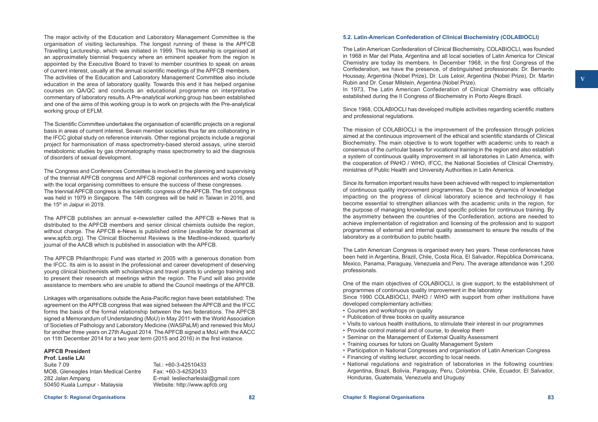The major activity of the Education and Laboratory Management Committee is the organisation of visiting lectureships. The longest running of these is the APFCB Travelling Lectureship, which was initiated in 1999. This lectureship is organised at an approximately biennial frequency where an eminent speaker from the region is appointed by the Executive Board to travel to member countries to speak on areas of current interest, usually at the annual scientific meetings of the APFCB members. The activities of the Education and Laboratory Management Committee also include education in the area of laboratory quality. Towards this end it has helped organise courses on QA/QC and conducts an educational programme on interpretative commentary of laboratory results. A Pre-analytical working group has been established and one of the aims of this working group is to work on projects with the Pre-analytical working group of EFLM.

The Scientific Committee undertakes the organisation of scientific projects on a regional basis in areas of current interest. Seven member societies thus far are collaborating in the IFCC global study on reference intervals. Other regional projects include a regional project for harmonisation of mass spectrometry-based steroid assays, urine steroid metabolomic studies by gas chromatography mass spectrometry to aid the diagnosis of disorders of sexual development.

The Congress and Conferences Committee is involved in the planning and supervising of the triennial APFCB congress and APFCB regional conferences and works closely with the local organising committees to ensure the success of these congresses. The triennialAPFCB congress is the scientific congress of theAPFCB. The first congress was held in 1979 in Singapore. The 14th congress will be held in Taiwan in 2016, and the  $15<sup>th</sup>$  in Jaipur in 2019.

The APFCB publishes an annual e-newsletter called the APFCB e-News that is distributed to the APFCB members and senior clinical chemists outside the region, without charge. The APFCB e-News is published online (available for download at www.apfcb.org). The Clinical Biochemist Reviews is the Medline-indexed, quarterly journal of the AACB which is published in association with the APFCB.

The APFCB Philanthropic Fund was started in 2005 with a generous donation from the IFCC. Its aim is to assist in the professional and career development of deserving young clinical biochemists with scholarships and travel grants to undergo training and to present their research at meetings within the region. The Fund will also provide assistance to members who are unable to attend the Council meetings of the APFCB.

Linkages with organisations outside the Asia-Pacific region have been established: The agreement on the APFCB congress that was signed between the APFCB and the IFCC forms the basis of the formal relationship between the two federations. The APFCB signed a Memorandum of Understanding (MoU) in May 2011 with the World Association of Societies of Pathology and Laboratory Medicine (WASPaLM) and renewed this MoU for another three years on 27th August 2014. The APFCB signed a MoU with the AACC on 11th December 2014 for a two year term (2015 and 2016) in the first instance.

### **APFCB President**

**Prof. Leslie LAI**  Suite 7.09 MOB, Gleneagles Intan Medical Centre 282 Jalan Ampang 50450 Kuala Lumpur - Malaysia

 $Tel: +60-3-42510433$ Fax: +60-3-42520433 E-mail: [lesliecharleslai@gmail.com](mailto:lesliecharleslai@gmail.com) Website: http://[www.apfcb.org](http://www.apfcb.org)

# **5.2. Latin-American Confederation of Clinical Biochemistry (COLABIOCLI)**

The Latin American Confederation of Clinical Biochemistry, COLABIOCLI, was founded in 1968 in Mar del Plata, Argentina and all local societies of Latin America for Clinical Chemistry are today its members. In December 1968, in the first Congress of the Confederation, we have the presence, of distinguished professionals: Dr. Bernardo Houssay, Argentina (Nobel Prize), Dr. Luis Leloir, Argentina (Nobel Prize), Dr. Martin Rubin and Dr. Cesar Milstein, Argentina (Nobel Prize).

In 1973, The Latin American Confederation of Clinical Chemistry was officially established during the II Congress of Biochemistry in Porto Alegre Brazil.

Since 1968, COLABIOCLI has developed multiple activities regarding scientific matters and professional regulations.

The mission of COLABIOCLI is the improvement of the profession through policies aimed at the continuous improvement of the ethical and scientific standards of Clinical Biochemistry. The main objective is to work together with academic units to reach a consensus of the curricular bases for vocational training in the region and also establish a system of continuous quality improvement in all laboratories in Latin America, with the cooperation of PAHO / WHO, IFCC, the National Societies of Clinical Chemistry, ministries of Public Health and University Authorities in Latin America.

Since its formation important results have been achieved with respect to implementation of continuous quality improvement programmes. Due to the dynamics of knowledge impacting on the progress of clinical laboratory science and technology it has become essential to strengthen alliances with the academic units in the region, for the purpose of managing knowledge, and specific policies for continuous training. By the asymmetry between the countries of the Confederation, actions are needed to achieve implementation of registration and licensing of the profession and to support programmes of external and internal quality assessment to ensure the results of the laboratory as a contribution to public health.

The Latin American Congress is organised every two years. These conferences have been held in Argentina, Brazil, Chile, Costa Rica, El Salvador, República Dominicana, Mexico, Panama, Paraguay, Venezuela and Peru. The average attendance was 1,200 professionals.

One of the main objectives of COLABIOCLI, is give support, to the establishment of programmes of continuous quality improvement in the laboratory Since 1990 COLABIOCLI, PAHO / WHO with support from other institutions have developed complementary activities:

- Courses and workshops on quality
- Publication of three books on quality assurance
- • Visits to various health institutions, to stimulate their interest in our programmes
- Provide control material and of course, to develop them
- Seminar on the Management of External Quality Assessment
- Training courses for tutors on Quality Management System
- • Participation in National Congresses and organisation of Latin American Congress
- Financing of visiting lecturer, according to local needs.
- • National regulations and registration of laboratories in the following countries: Argentina, Brazil, Bolivia, Paraguay, Peru, Colombia, Chile, Ecuador, El Salvador, Honduras, Guatemala, Venezuela and Uruguay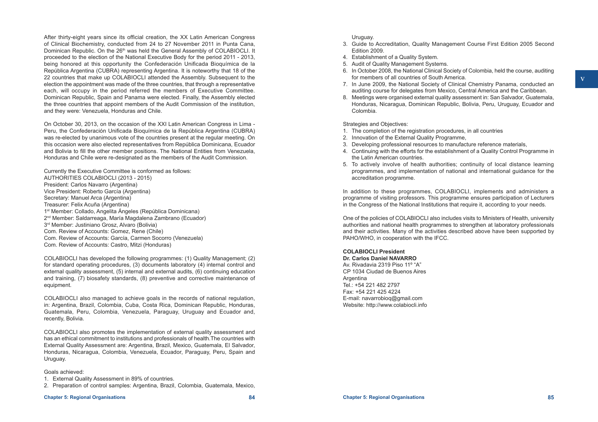After thirty-eight years since its official creation, the XX Latin American Congress of Clinical Biochemistry, conducted from 24 to 27 November 2011 in Punta Cana, Dominican Republic. On the 26<sup>th</sup> was held the General Assembly of COLABIOCLI. It proceeded to the election of the National Executive Body for the period 2011 - 2013, being honored at this opportunity the Confederación Unificada Bioquímica de la República Argentina (CUBRA) representing Argentina. It is noteworthy that 18 of the 22 countries that make up COLABIOCLI attended the Assembly. Subsequent to the election the appointment was made of the three countries, that through a representative each, will occupy in the period referred the members of Executive Committee. Dominican Republic, Spain and Panama were elected. Finally, the Assembly elected the three countries that appoint members of the Audit Commission of the institution, and they were: Venezuela, Honduras and Chile.

On October 30, 2013, on the occasion of the XXI Latin American Congress in Lima - Peru, the Confederación Unificada Bioquímica de la República Argentina (CUBRA) was re-elected by unanimous vote of the countries present at the regular meeting. On this occasion were also elected representatives from República Dominicana, Ecuador and Bolivia to fill the other member positions. The National Entities from Venezuela, Honduras and Chile were re-designated as the members of the Audit Commission.

Currently the Executive Committee is conformed as follows: AUTHORITIES COLABIOCLI (2013 - 2015) President: Carlos Navarro (Argentina) Vice President: Roberto García (Argentina) Secretary: Manuel Arca (Argentina) Treasurer: Felix Acuña (Argentina) 1st Member: Collado, Angelita Ángeles (República Dominicana) 2nd Member: Saldarreaga, María Magdalena Zambrano (Ecuador) 3rd Member: Justiniano Grosz, Alvaro (Bolivia) Com. Review of Accounts: Gomez, Rene (Chile) Com. Review of Accounts: García, Carmen Socorro (Venezuela) Com. Review of Accounts: Castro, Mitzi (Honduras)

COLABIOCLI has developed the following programmes: (1) Quality Management; (2) for standard operating procedures, (3) documents laboratory (4) internal control and external quality assessment, (5) internal and external audits, (6) continuing education and training, (7) biosafety standards, (8) preventive and corrective maintenance of equipment.

COLABIOCLI also managed to achieve goals in the records of national regulation, in: Argentina, Brazil, Colombia, Cuba, Costa Rica, Dominican Republic, Honduras, Guatemala, Peru, Colombia, Venezuela, Paraguay, Uruguay and Ecuador and, recently, Bolivia.

COLABIOCLI also promotes the implementation of external quality assessment and has an ethical commitment to institutions and professionals of health.The countries with External Quality Assessment are: Argentina, Brazil, Mexico, Guatemala, El Salvador, Honduras, Nicaragua, Colombia, Venezuela, Ecuador, Paraguay, Peru, Spain and Uruguay.

Goals achieved:

- 1. External Quality Assessment in 89% of countries.
- 2. Preparation of control samples: Argentina, Brazil, Colombia, Guatemala, Mexico,

# Uruguay.

- 3. Guide to Accreditation, Quality Management Course First Edition 2005 Second Edition 2009.
- 4. Establishment of a Quality System.
- 5. Audit of Quality Management Systems.
- 6. In October 2008, the National Clinical Society of Colombia, held the course, auditing for members of all countries of South America.
- 7. In June 2009, the National Society of Clinical Chemistry Panama, conducted an auditing course for delegates from Mexico, Central America and the Caribbean.
- 8. Meetings were organised external quality assessment in: San Salvador, Guatemala, Honduras, Nicaragua, Dominican Republic, Bolivia, Peru, Uruguay, Ecuador and Colombia.

Strategies and Objectives:

- 1. The completion of the registration procedures, in all countries
- 2. Innovation of the External Quality Programme,
- 3. Developing professional resources to manufacture reference materials,
- 4. Continuing with the efforts for the establishment of a Quality Control Programme in the Latin American countries.
- 5. To actively involve of health authorities; continuity of local distance learning programmes, and implementation of national and international guidance for the accreditation programme.

In addition to these programmes, COLABIOCLI, implements and administers a programme of visiting professors. This programme ensures participation of Lecturers in the Congress of the National Institutions that require it, according to your needs.

One of the policies of COLABIOCLI also includes visits to Ministers of Health, university authorities and national health programmes to strengthen at laboratory professionals and their activities. Many of the activities described above have been supported by PAHO/WHO, in cooperation with the IFCC.

# **COLABIOCLI President**

**Dr. Carlos Daniel NAVARRO** Av. Rivadavia 2319 Piso 11º "A" CP 1034 Ciudad de Buenos Aires **Argentina** Tel.: +54 221 482 2797 Fax: +54 221 425 4224 E-mail: [navarrobioq@gmail.com](mailto:navarrobioq@gmail.com) Website: http://[www.colabiocli.info](http://www.colabiocli.info)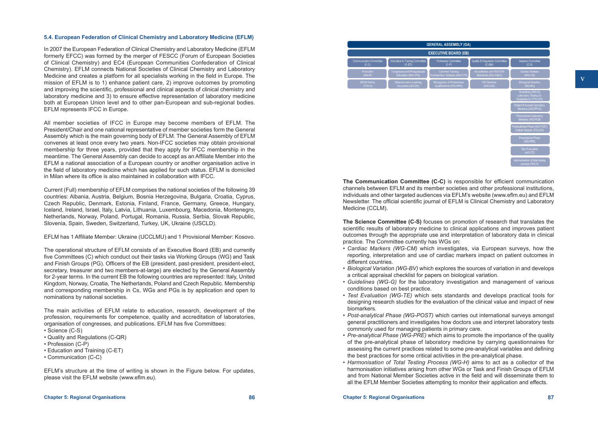### **5.4. European Federation of Clinical Chemistry and Laboratory Medicine (EFLM)**

In 2007 the European Federation of Clinical Chemistry and Laboratory Medicine (EFLM formerly EFCC) was formed by the merger of FESCC (Forum of European Societies of Clinical Chemistry) and EC4 (European Communities Confederation of Clinical Chemistry). EFLM connects National Societies of Clinical Chemistry and Laboratory Medicine and creates a platform for all specialists working in the field in Europe. The mission of EFLM is to 1) enhance patient care, 2) improve outcomes by promoting and improving the scientific, professional and clinical aspects of clinical chemistry and laboratory medicine and 3) to ensure effective representation of laboratory medicine both at European Union level and to other pan-European and sub-regional bodies. EFLM represents IFCC in Europe.

All member societies of IFCC in Europe may become members of EFLM. The President/Chair and one national representative of member societies form the General Assembly which is the main governing body of EFLM. The General Assembly of EFLM convenes at least once every two years. Non-IFCC societies may obtain provisional membership for three years, provided that they apply for IFCC membership in the meantime. The General Assembly can decide to accept as an Affiliate Member into the EFLM a national association of a European country or another organisation active in the field of laboratory medicine which has applied for such status. EFLM is domiciled in Milan where its office is also maintained in collaboration with IFCC.

Current (Full) membership of EFLM comprises the national societies of the following 39 countries: Albania, Austria, Belgium, Bosnia Herzegovina, Bulgaria, Croatia, Cyprus, Czech Republic, Denmark, Estonia, Finland, France, Germany, Greece, Hungary, Iceland, Ireland, Israel, Italy, Latvia, Lithuania, Luxembourg, Macedonia, Montenegro, Netherlands, Norway, Poland, Portugal, Romania, Russia, Serbia, Slovak Republic, Slovenia, Spain, Sweden, Switzerland, Turkey, UK, Ukraine (USCLD).

EFLM has 1 Affiliate Member: Ukraine (UCCLMU) and 1 Provisional Member: Kosovo.

The operational structure of EFLM consists of an Executive Board (EB) and currently five Committees (C) which conduct out their tasks via Working Groups (WG) and Task and Finish Groups (PG). Officers of the EB (president, past-president, president-elect, secretary, treasurer and two members-at-large) are elected by the General Assembly for 2-year terms. In the current EB the following countries are represented: Italy, United Kingdom, Norway, Croatia, The Netherlands, Poland and Czech Republic. Membership and corresponding membership in Cs, WGs and PGs is by application and open to nominations by national societies.

The main activities of EFLM relate to education, research, development of the profession, requirements for competence, quality and accreditation of laboratories, organisation of congresses, and publications. EFLM has five Committees:

• Science (C-S)

- Quality and Regulations (C-QR)
- Profession (C-P)
- Education and Training (C-ET)
- Communication (C-C)

EFLM's structure at the time of writing is shown in the Figure below. For updates, please visit the EFLM website [\(www.eflm.eu](http://www.eflm.eu)).

| <b>GENERAL ASSEMBLY (GA)</b><br><b>EXECUTIVE BOARD (EB)</b> |                                                   |                                                          |                                                   |                                                                       |
|-------------------------------------------------------------|---------------------------------------------------|----------------------------------------------------------|---------------------------------------------------|-----------------------------------------------------------------------|
|                                                             |                                                   |                                                          |                                                   |                                                                       |
| <b>Promotion</b><br>$(WG-P)$                                | Congresses and Postgraduate<br>Education (WG-CPE) | <b>Common Training</b><br>Frameworks / Syllabus (WG-CTF) | Accreditation and ISO/CEN<br>Standards (WG-A/ISO) | Cardiac Markers<br>(WG-CM)                                            |
| <b>EFLM History</b><br>(TFG-H)                              | Distance and e-Learning<br>Education (WG-DE)      | Recognition of Professional<br>Qualifications (WG-RPQ)   | <b>IVD Directive</b><br>$(WG-IVD)$                | <b>Biological Variation</b><br>(WG-BV)                                |
|                                                             |                                                   |                                                          |                                                   | Guidelines (WG-G)<br>Laboratory Testing for<br>Dyslipidemia (TFG-LTD) |
|                                                             |                                                   |                                                          |                                                   | Patient Focused Laboratory<br>Medicine (WG-PFLM)                      |
|                                                             |                                                   |                                                          |                                                   | Personalized Laboratory<br>Medicine (WG-PLM)                          |
|                                                             |                                                   |                                                          |                                                   | Postanalytical Phase (WG-POST)<br>Critical Results (TFG-CR)           |
|                                                             |                                                   |                                                          |                                                   | <b>Preanalytical Phase</b><br>(WG-PRE)                                |
|                                                             |                                                   |                                                          |                                                   | <b>Test Evaluation</b><br>$(WG-TE)$                                   |
|                                                             |                                                   |                                                          |                                                   | Harmonisation of total testing<br>process (WG-H)                      |

**The Communication Committee (C-C)** is responsible for efficient communication channels between EFLM and its member societies and other professional institutions, individuals and other targeted audiences via EFLM's website (www.eflm.eu) and EFLM Newsletter. The official scientific journal of EFLM is Clinical Chemistry and Laboratory Medicine (CCLM).

**The Science Committee (C-S)** focuses on promotion of research that translates the scientific results of laboratory medicine to clinical applications and improves patient outcomes through the appropriate use and interpretation of laboratory data in clinical practice. The Committee currently has WGs on:

- • *Cardiac Markers (WG-CM)* which investigates, via European surveys, how the reporting, interpretation and use of cardiac markers impact on patient outcomes in different countries.
- • *Biological Variation (WG-BV)* which explores the sources of variation in and develops a critical appraisal checklist for papers on biological variation.
- • *Guidelines (WG-G)* for the laboratory investigation and management of various conditions based on best practice.
- • *Test Evaluation (WG-TE)* which sets standards and develops practical tools for designing research studies for the evaluation of the clinical value and impact of new biomarkers.
- • *Post-analytical Phase (WG-POST)* which carries out international surveys amongst general practitioners and investigates how doctors use and interpret laboratory tests commonly used for managing patients in primary care.
- *Pre-analytical Phase (WG-PRE)* which aims to promote the importance of the quality of the pre-analytical phase of laboratory medicine by carrying questionnaires for assessing the current practices related to some pre-analytical variables and defining the best practices for some critical activities in the pre-analytical phase.
- • *Harmonisation of Total Testing Process (WG-H)* aims to act as a collector of the harmonisation initiatives arising from other WGs or Task and Finish Groups of EFLM and from National Member Societies active in the field and will disseminate them to all the EFLM Member Societies attempting to monitor their application and effects.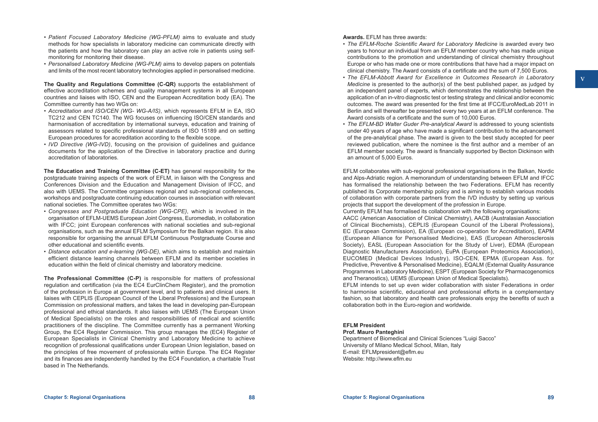- • *Patient Focused Laboratory Medicine (WG-PFLM)* aims to evaluate and study methods for how specialists in laboratory medicine can communicate directly with the patients and how the laboratory can play an active role in patients using selfmonitoring for monitoring their disease.
- • *Personalised Laboratory Medicine (WG-PLM)* aims to develop papers on potentials and limits of the most recent laboratory technologies applied in personalised medicine.

**The Quality and Regulations Committee (C-QR)** supports the establishment of effective accreditation schemes and quality management systems in all European countries and liaises with ISO, CEN and the European Accreditation body (EA). The Committee currently has two WGs on:

- • *Accreditation and ISO/CEN (WG- WG-A/IS)*, which represents EFLM in EA, ISO TC212 and CEN TC140. The WG focuses on influencing ISO/CEN standards and harmonisation of accreditation by international surveys, education and training of assessors related to specific professional standards of ISO 15189 and on setting European procedures for accreditation according to the flexible scope.
- • *IVD Directive (WG-IVD)*, focusing on the provision of guidelines and guidance documents for the application of the Directive in laboratory practice and during accreditation of laboratories.

**The Education and Training Committee (C-ET)** has general responsibility for the postgraduate training aspects of the work of EFLM, in liaison with the Congress and Conferences Division and the Education and Management Division of IFCC, and also with UEMS. The Committee organises regional and sub-regional conferences, workshops and postgraduate continuing education courses in association with relevant national societies. The Committee operates two WGs:

- *• Congresses and Postgraduate Education (WG-CPE)*, which is involved in the organisation of EFLM-UEMS European Joint Congress, Euromedlab, in collaboration with IFCC; joint European conferences with national societies and sub-regional organisations, such as the annual EFLM Symposium for the Balkan region. It is also responsible for organising the annual EFLM Continuous Postgraduate Course and other educational and scientific events.
- • *Distance education and e-learning (WG-DE)*, which aims to establish and maintain efficient distance learning channels between EFLM and its member societies in education within the field of clinical chemistry and laboratory medicine.

**The Professional Committee (C-P)** is responsible for matters of professional regulation and certification (via the EC4 EurClinChem Register), and the promotion of the profession in Europe at government level, and to patients and clinical users. It liaises with CEPLIS (European Council of the Liberal Professions) and the European Commission on professional matters, and takes the lead in developing pan-European professional and ethical standards. It also liaises with UEMS (The European Union of Medical Specialists) on the roles and responsibilities of medical and scientific practitioners of the discipline. The Committee currently has a permanent Working Group, the EC4 Register Commission. This group manages the (EC4) Register of European Specialists in Clinical Chemistry and Laboratory Medicine to achieve recognition of professional qualifications under European Union legislation, based on the principles of free movement of professionals within Europe. The EC4 Register and its finances are independently handled by the EC4 Foundation, a charitable Trust based in The Netherlands.

#### **Awards.** EFLM has three awards:

- • *The EFLM-Roche Scientific Award for Laboratory Medicine* is awarded every two years to honour an individual from an EFLM member country who has made unique contributions to the promotion and understanding of clinical chemistry throughout Europe or who has made one or more contributions that have had a major impact on clinical chemistry. The Award consists of a certificate and the sum of 7,500 Euros.
- • *The EFLM-Abbott Award for Excellence in Outcomes Research in Laboratory Medicine* is presented to the author(s) of the best published paper, as judged by an independent panel of experts, which demonstrates the relationship between the application of an in-vitro diagnostic test or testing strategy and clinical and/or economic outcomes. The award was presented for the first time at IFCC/EuroMedLab 2011 in Berlin and will thereafter be presented every two years at an EFLM conference. The Award consists of a certificate and the sum of 10,000 Euros.
- The EFLM-BD Walter Guder Pre-analytical Award is addressed to young scientists under 40 years of age who have made a significant contribution to the advancement of the pre-analytical phase. The award is given to the best study accepted for peer reviewed publication, where the nominee is the first author and a member of an EFLM member society. The award is financially supported by Becton Dickinson with an amount of 5,000 Euros.

EFLM collaborates with sub-regional professional organisations in the Balkan, Nordic and Alps-Adriatic region. A memorandum of understanding between EFLM and IFCC has formalised the relationship between the two Federations. EFLM has recently published its Corporate membership policy and is aiming to establish various models of collaboration with corporate partners from the IVD industry by setting up various projects that support the development of the profession in Europe. Currently EFLM has formalised its collaboration with the following organisations:

AACC (American Association of Clinical Chemistry), AACB (Australasian Association of Clinical Biochemists), CEPLIS (European Council of the Liberal Professions), EC (European Commission), EA (European co-operation for Accreditation), EAPM (European Alliance for Personalised Medicine), EAS (European Atherosclerosis Society), EASL (European Association for the Study of Liver), EDMA (European Diagnostic Manufacturers Association), EuPA (European Proteomics Association), EUCOMED (Medical Devices Industry), ISO-CEN, EPMA (European Ass. for Predictive, Preventive & Personalised Medicine), EQALM (External Quality Assurance Programmes in Laboratory Medicine), ESPT (European Society for Pharmacogenomics and Theranostics), UEMS (European Union of Medical Specialists).

EFLM intends to set up even wider collaboration with sister Federations in order to harmonise scientific, educational and professional efforts in a complementary fashion, so that laboratory and health care professionals enjoy the benefits of such a collaboration both in the Euro-region and worldwide.

#### **EFLM President**

#### **Prof. Mauro Panteghini**

Department of Biomedical and Clinical Sciences "Luigi Sacco" University of Milano Medical School, Milan, Italy E-mail: [EFLMpresident@eflm.eu](mailto:EFLMpresident@eflm.eu) Website: http://[www.eflm.eu](http://www.eflm.eu)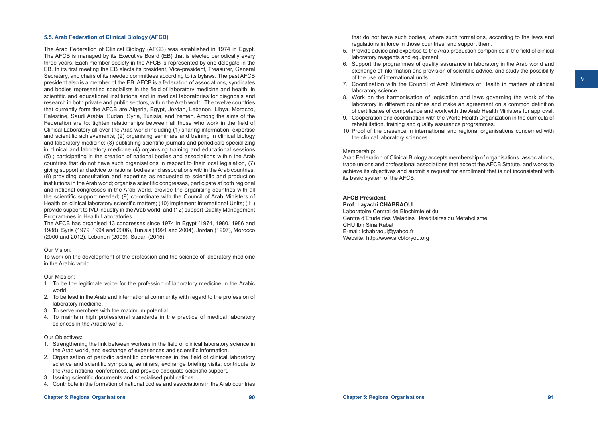#### **5.5. Arab Federation of Clinical Biology (AFCB)**

The Arab Federation of Clinical Biology (AFCB) was established in 1974 in Egypt. The AFCB is managed by its Executive Board (EB) that is elected periodically every three years. Each member society in the AFCB is represented by one delegate in the EB. In its first meeting the EB elects its president, Vice-president, Treasurer, General Secretary, and chairs of its needed committees according to its bylaws. The past AFCB president also is a member of the EB. AFCB is a federation of associations, syndicates and bodies representing specialists in the field of laboratory medicine and health, in scientific and educational institutions and in medical laboratories for diagnosis and research in both private and public sectors, within the Arab world. The twelve countries that currently form the AFCB are Algeria, Egypt, Jordan, Lebanon, Libya, Morocco, Palestine, Saudi Arabia, Sudan, Syria, Tunisia, and Yemen. Among the aims of the Federation are to: tighten relationships between all those who work in the field of Clinical Laboratory all over the Arab world including (1) sharing information, expertise and scientific achievements; (2) organising seminars and training in clinical biology and laboratory medicine; (3) publishing scientific journals and periodicals specializing in clinical and laboratory medicine (4) organising training and educational sessions (5) ; participating in the creation of national bodies and associations within the Arab countries that do not have such organisations in respect to their local legislation, (7) giving support and advice to national bodies and associations within the Arab countries, (8) providing consultation and expertise as requested to scientific and production institutions in the Arab world; organise scientific congresses, participate at both regional and national congresses in the Arab world, provide the organising countries with all the scientific support needed; (9) co-ordinate with the Council of Arab Ministers of Health on clinical laboratory scientific matters; (10) implement International Units; (11) provide support to IVD industry in the Arab world; and (12) support Quality Management Programmes in Health Laboratories.

The AFCB has organised 13 congresses since 1974 in Egypt (1974, 1980, 1986 and 1988), Syria (1979, 1994 and 2006), Tunisia (1991 and 2004), Jordan (1997), Morocco (2000 and 2012), Lebanon (2009), Sudan (2015).

#### Our Vision:

To work on the development of the profession and the science of laboratory medicine in the Arabic world.

#### Our Mission:

- 1. To be the legitimate voice for the profession of laboratory medicine in the Arabic world.
- 2. To be lead in the Arab and international community with regard to the profession of laboratory medicine.
- 3. To serve members with the maximum potential.
- 4. To maintain high professional standards in the practice of medical laboratory sciences in the Arabic world.

#### Our Objectives:

- 1. Strengthening the link between workers in the field of clinical laboratory science in the Arab world, and exchange of experiences and scientific information.
- 2. Organisation of periodic scientific conferences in the field of clinical laboratory science and scientific symposia, seminars, exchange briefing visits, contribute to the Arab national conferences, and provide adequate scientific support.
- 3. Issuing scientific documents and specialised publications.
- 4. Contribute in the formation of national bodies and associations in the Arab countries

that do not have such bodies, where such formations, according to the laws and regulations in force in those countries, and support them.

- 5. Provide advice and expertise to the Arab production companies in the field of clinical laboratory reagents and equipment.
- 6. Support the programmes of quality assurance in laboratory in the Arab world and exchange of information and provision of scientific advice, and study the possibility of the use of international units.
- 7. Coordination with the Council of Arab Ministers of Health in matters of clinical laboratory science.
- 8. Work on the harmonisation of legislation and laws governing the work of the laboratory in different countries and make an agreement on a common definition of certificates of competence and work with the Arab Health Ministers for approval.
- 9. Cooperation and coordination with the World Health Organization in the curricula of rehabilitation, training and quality assurance programmes.
- 10. Proof of the presence in international and regional organisations concerned with the clinical laboratory sciences.

#### Membership:

Arab Federation of Clinical Biology accepts membership of organisations, associations, trade unions and professional associations that accept the AFCB Statute, and works to achieve its objectives and submit a request for enrollment that is not inconsistent with its basic system of the AFCB.

# **AFCB President**

#### **Prof. Layachi CHABRAOUI**

Laboratoire Central de Biochimie et du Centre d'Etude des Maladies Héréditaires du Métabolisme CHU Ibn Sina Rabat E-mail: [lchabraoui@yahoo.fr](mailto:lchabraoui@yahoo.fr) Website: http://[www.afcbforyou.org](http://www.afcbforyou.org)